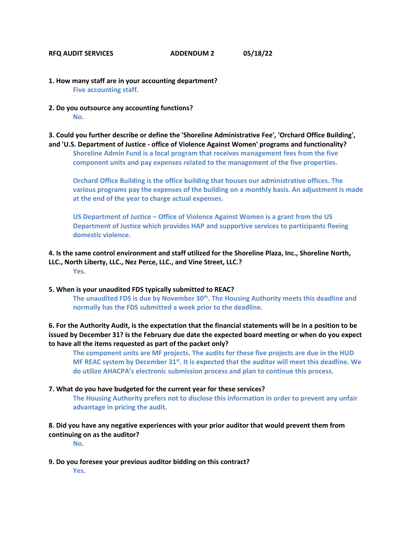## **RFQ AUDIT SERVICES ADDENDUM 2 05/18/22**

- **1. How many staff are in your accounting department? Five accounting staff.**
- **2. Do you outsource any accounting functions? No.**

**3. Could you further describe or define the 'Shoreline Administrative Fee', 'Orchard Office Building',** 

**and 'U.S. Department of Justice - office of Violence Against Women' programs and functionality? Shoreline Admin Fund is a local program that receives management fees from the five component units and pay expenses related to the management of the five properties.** 

**Orchard Office Building is the office building that houses our administrative offices. The various programs pay the expenses of the building on a monthly basis. An adjustment is made at the end of the year to charge actual expenses.** 

**US Department of Justice – Office of Violence Against Women is a grant from the US Department of Justice which provides HAP and supportive services to participants fleeing domestic violence.** 

**4. Is the same control environment and staff utilized for the Shoreline Plaza, Inc., Shoreline North, LLC., North Liberty, LLC., Nez Perce, LLC., and Vine Street, LLC.? Yes.** 

**5. When is your unaudited FDS typically submitted to REAC? The unaudited FDS is due by November 30th. The Housing Authority meets this deadline and normally has the FDS submitted a week prior to the deadline.** 

**6. For the Authority Audit, is the expectation that the financial statements will be in a position to be issued by December 31? Is the February due date the expected board meeting or when do you expect to have all the items requested as part of the packet only?** 

**The component units are MF projects. The audits for these five projects are due in the HUD MF REAC system by December 31st. It is expected that the auditor will meet this deadline. We do utilize AHACPA's electronic submission process and plan to continue this process.** 

## **7. What do you have budgeted for the current year for these services?**

**The Housing Authority prefers not to disclose this information in order to prevent any unfair advantage in pricing the audit.** 

**8. Did you have any negative experiences with your prior auditor that would prevent them from continuing on as the auditor?** 

**No.** 

**9. Do you foresee your previous auditor bidding on this contract?** 

**Yes.**